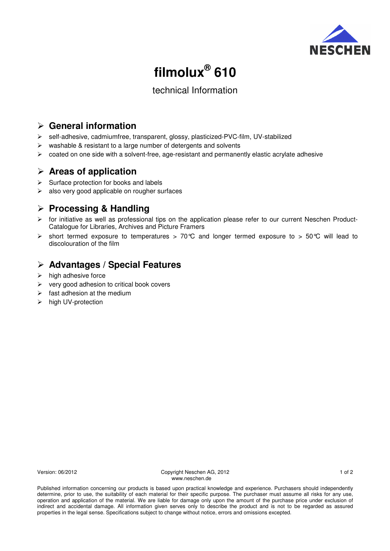

# **filmolux® 610**

## technical Information

## **General information**

- self-adhesive, cadmiumfree, transparent, glossy, plasticized-PVC-film, UV-stabilized
- $\triangleright$  washable & resistant to a large number of detergents and solvents
- $\triangleright$  coated on one side with a solvent-free, age-resistant and permanently elastic acrylate adhesive

## **Areas of application**

- $\triangleright$  Surface protection for books and labels
- $\triangleright$  also very good applicable on rougher surfaces

## **Processing & Handling**

- $\triangleright$  for initiative as well as professional tips on the application please refer to our current Neschen Product-Catalogue for Libraries, Archives and Picture Framers
- $\triangleright$  short termed exposure to temperatures > 70°C and longer termed exposure to > 50°C will lead to discolouration of the film

# **Advantages / Special Features**

- $\triangleright$  high adhesive force
- $\triangleright$  very good adhesion to critical book covers
- $\triangleright$  fast adhesion at the medium
- > high UV-protection

Version: 06/2012 1 of 2<br>
Copyright Neschen AG, 2012 1 of 2 www.neschen.de

Published information concerning our products is based upon practical knowledge and experience. Purchasers should independently determine, prior to use, the suitability of each material for their specific purpose. The purchaser must assume all risks for any use, operation and application of the material. We are liable for damage only upon the amount of the purchase price under exclusion of indirect and accidental damage. All information given serves only to describe the product and is not to be regarded as assured properties in the legal sense. Specifications subject to change without notice, errors and omissions excepted.